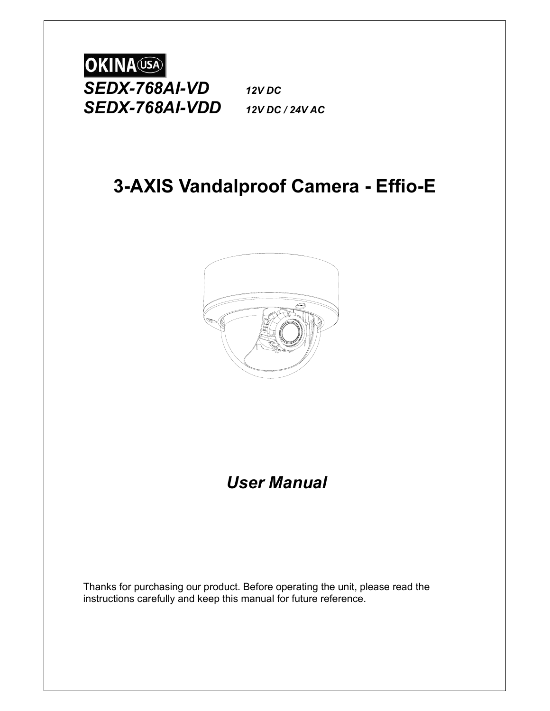

# **3-AXIS Vandalproof Camera - Effio-E**



*User Manual*

Thanks for purchasing our product. Before operating the unit, please read the instructions carefully and keep this manual for future reference.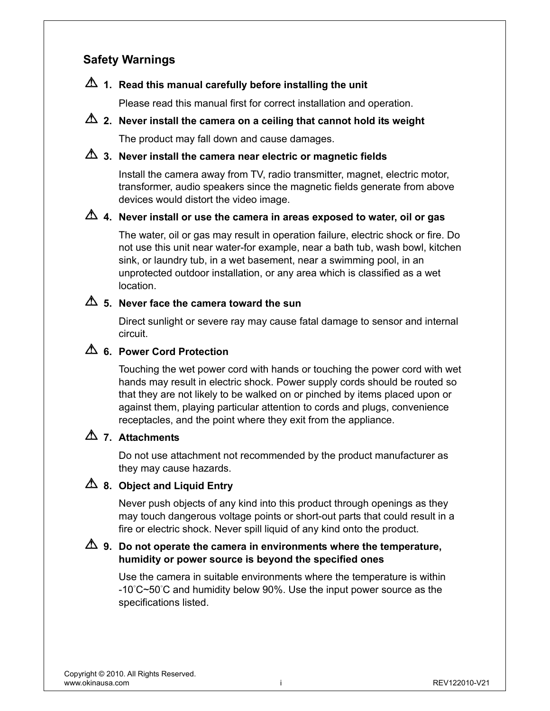# **Safety Warnings**

# **1. Read this manual carefully before installing the unit**

Please read this manual first for correct installation and operation.

# **2. Never install the camera on a ceiling that cannot hold its weight**

The product may fall down and cause damages.

# **3. Never install the camera near electric or magnetic fields**

Install the camera away from TV, radio transmitter, magnet, electric motor, transformer, audio speakers since the magnetic fields generate from above devices would distort the video image.

# **4. Never install or use the camera in areas exposed to water, oil or gas**

The water, oil or gas may result in operation failure, electric shock or fire. Do not use this unit near water-for example, near a bath tub, wash bowl, kitchen sink, or laundry tub, in a wet basement, near a swimming pool, in an unprotected outdoor installation, or any area which is classified as a wet location.

# **5. Never face the camera toward the sun**

Direct sunlight or severe ray may cause fatal damage to sensor and internal circuit.

# **6. Power Cord Protection**

Touching the wet power cord with hands or touching the power cord with wet hands may result in electric shock. Power supply cords should be routed so that they are not likely to be walked on or pinched by items placed upon or against them, playing particular attention to cords and plugs, convenience receptacles, and the point where they exit from the appliance.

# **7. Attachments**

Do not use attachment not recommended by the product manufacturer as they may cause hazards.

# **8. Object and Liquid Entry**

Never push objects of any kind into this product through openings as they may touch dangerous voltage points or short-out parts that could result in a fire or electric shock. Never spill liquid of any kind onto the product.

# **9. Do not operate the camera in environments where the temperature, humidity or power source is beyond the specified ones**

Use the camera in suitable environments where the temperature is within -10°C~50°C and humidity below 90%. Use the input power source as the specifications listed.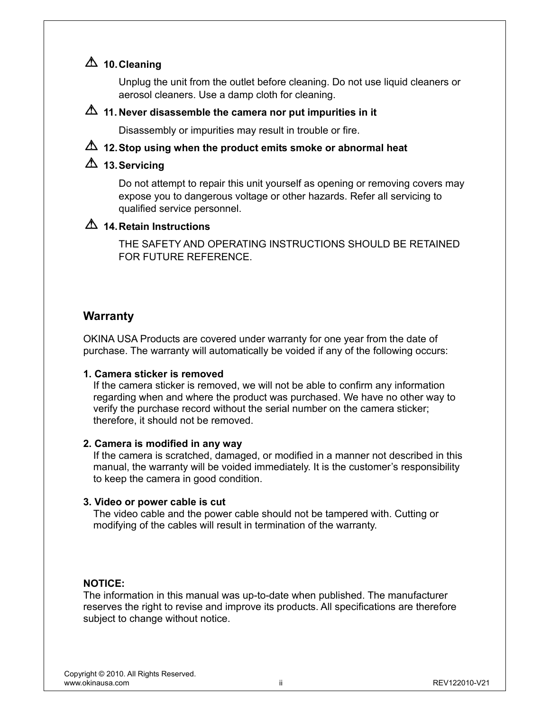# **10. Cleaning**

Unplug the unit from the outlet before cleaning. Do not use liquid cleaners or aerosol cleaners. Use a damp cloth for cleaning.

### **11. Never disassemble the camera nor put impurities in it**

Disassembly or impurities may result in trouble or fire.

# **12. Stop using when the product emits smoke or abnormal heat**

# **13. Servicing**

Do not attempt to repair this unit yourself as opening or removing covers may expose you to dangerous voltage or other hazards. Refer all servicing to qualified service personnel.

# **14. Retain Instructions**

THE SAFETY AND OPERATING INSTRUCTIONS SHOULD BE RETAINED FOR FUTURE REFERENCE.

## **Warranty**

OKINA USA Products are covered under warranty for one year from the date of purchase. The warranty will automatically be voided if any of the following occurs:

#### **1. Camera sticker is removed**

 If the camera sticker is removed, we will not be able to confirm any information regarding when and where the product was purchased. We have no other way to verify the purchase record without the serial number on the camera sticker; therefore, it should not be removed.

#### **2. Camera is modified in any way**

 If the camera is scratched, damaged, or modified in a manner not described in this manual, the warranty will be voided immediately. It is the customer's responsibility to keep the camera in good condition.

#### **3. Video or power cable is cut**

The video cable and the power cable should not be tampered with. Cutting or modifying of the cables will result in termination of the warranty.

#### **NOTICE:**

The information in this manual was up-to-date when published. The manufacturer reserves the right to revise and improve its products. All specifications are therefore subject to change without notice.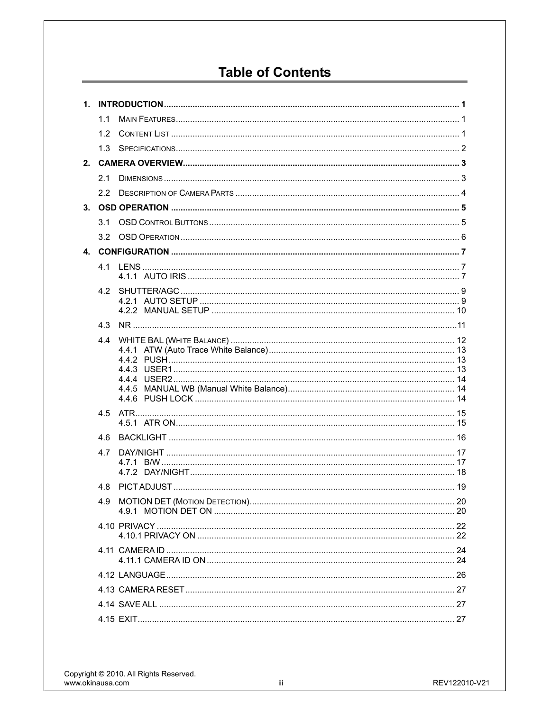# **Table of Contents**

|                | 1.1              |  |
|----------------|------------------|--|
|                | 1.2 <sub>1</sub> |  |
|                | 1.3              |  |
| 2 <sup>1</sup> |                  |  |
|                | 2.1              |  |
|                | 2.2              |  |
|                |                  |  |
|                | 3.1              |  |
|                |                  |  |
|                |                  |  |
|                | 41               |  |
|                |                  |  |
|                |                  |  |
|                |                  |  |
|                | 4.3              |  |
|                |                  |  |
|                |                  |  |
|                |                  |  |
|                |                  |  |
|                |                  |  |
|                | 4.5              |  |
|                |                  |  |
|                | 4.6              |  |
|                | 4.7              |  |
|                |                  |  |
|                | 4.8              |  |
|                |                  |  |
|                |                  |  |
|                |                  |  |
|                |                  |  |
|                |                  |  |
|                |                  |  |
|                |                  |  |
|                |                  |  |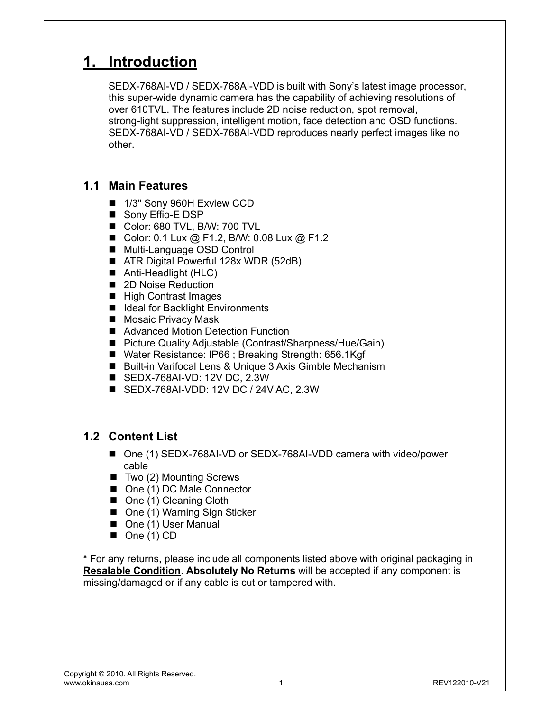# **1. Introduction**

SEDX-768AI-VD / SEDX-768AI-VDD is built with Sony's latest image processor, this super-wide dynamic camera has the capability of achieving resolutions of over 610TVL. The features include 2D noise reduction, spot removal, strong-light suppression, intelligent motion, face detection and OSD functions. SEDX-768AI-VD / SEDX-768AI-VDD reproduces nearly perfect images like no other.

# **1.1 Main Features**

- 1/3" Sony 960H Exview CCD
- Sony Effio-E DSP
- Color: 680 TVL, B/W: 700 TVL
- Color: 0.1 Lux @ F1.2, B/W: 0.08 Lux @ F1.2
- Multi-Language OSD Control
- ATR Digital Powerful 128x WDR (52dB)
- Anti-Headlight (HLC)
- 2D Noise Reduction
- High Contrast Images
- Ideal for Backlight Environments
- Mosaic Privacy Mask
- Advanced Motion Detection Function
- Picture Quality Adjustable (Contrast/Sharpness/Hue/Gain)
- Water Resistance: IP66 ; Breaking Strength: 656.1Kgf
- Built-in Varifocal Lens & Unique 3 Axis Gimble Mechanism
- SEDX-768AI-VD: 12V DC, 2.3W
- SEDX-768AI-VDD: 12V DC / 24V AC, 2.3W

# **1.2 Content List**

- One (1) SEDX-768AI-VD or SEDX-768AI-VDD camera with video/power cable
- Two (2) Mounting Screws
- One (1) DC Male Connector
- One (1) Cleaning Cloth
- One (1) Warning Sign Sticker
- One (1) User Manual
- $\blacksquare$  One (1) CD

**\*** For any returns, please include all components listed above with original packaging in **Resalable Condition**. **Absolutely No Returns** will be accepted if any component is missing/damaged or if any cable is cut or tampered with.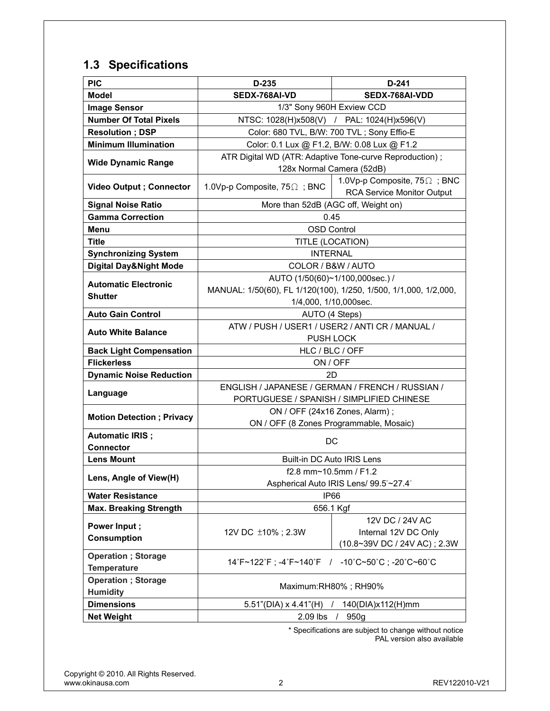# **1.3 Specifications**

| <b>PIC</b>                        | D-235                                                            | D-241                                            |  |  |  |
|-----------------------------------|------------------------------------------------------------------|--------------------------------------------------|--|--|--|
| <b>Model</b>                      | SEDX-768AI-VD                                                    | SEDX-768AI-VDD                                   |  |  |  |
| <b>Image Sensor</b>               | 1/3" Sony 960H Exview CCD                                        |                                                  |  |  |  |
| <b>Number Of Total Pixels</b>     | NTSC: 1028(H)x508(V) / PAL: 1024(H)x596(V)                       |                                                  |  |  |  |
| <b>Resolution; DSP</b>            |                                                                  | Color: 680 TVL, B/W: 700 TVL; Sony Effio-E       |  |  |  |
| <b>Minimum Illumination</b>       | Color: 0.1 Lux @ F1.2, B/W: 0.08 Lux @ F1.2                      |                                                  |  |  |  |
| <b>Wide Dynamic Range</b>         | ATR Digital WD (ATR: Adaptive Tone-curve Reproduction);          |                                                  |  |  |  |
|                                   | 128x Normal Camera (52dB)                                        |                                                  |  |  |  |
| <b>Video Output ; Connector</b>   | 1.0Vp-p Composite, $75\Omega$ ; BNC                              | 1.0Vp-p Composite, 75 Q; BNC                     |  |  |  |
|                                   |                                                                  | <b>RCA Service Monitor Output</b>                |  |  |  |
| <b>Signal Noise Ratio</b>         | More than 52dB (AGC off, Weight on)                              |                                                  |  |  |  |
| <b>Gamma Correction</b>           | 0.45                                                             |                                                  |  |  |  |
| Menu                              | <b>OSD Control</b>                                               |                                                  |  |  |  |
| <b>Title</b>                      | TITLE (LOCATION)                                                 |                                                  |  |  |  |
| <b>Synchronizing System</b>       | <b>INTERNAL</b>                                                  |                                                  |  |  |  |
| <b>Digital Day&amp;Night Mode</b> | COLOR / B&W / AUTO                                               |                                                  |  |  |  |
| <b>Automatic Electronic</b>       | AUTO (1/50(60)~1/100,000sec.) /                                  |                                                  |  |  |  |
| <b>Shutter</b>                    | MANUAL: 1/50(60), FL 1/120(100), 1/250, 1/500, 1/1,000, 1/2,000, |                                                  |  |  |  |
|                                   | 1/4,000, 1/10,000sec.                                            |                                                  |  |  |  |
| <b>Auto Gain Control</b>          | AUTO (4 Steps)                                                   |                                                  |  |  |  |
| <b>Auto White Balance</b>         | ATW / PUSH / USER1 / USER2 / ANTI CR / MANUAL /                  |                                                  |  |  |  |
| <b>Back Light Compensation</b>    | <b>PUSH LOCK</b><br>HLC / BLC / OFF                              |                                                  |  |  |  |
| <b>Flickerless</b>                | ON / OFF                                                         |                                                  |  |  |  |
| <b>Dynamic Noise Reduction</b>    | 2D                                                               |                                                  |  |  |  |
|                                   |                                                                  | ENGLISH / JAPANESE / GERMAN / FRENCH / RUSSIAN / |  |  |  |
| Language                          |                                                                  | PORTUGUESE / SPANISH / SIMPLIFIED CHINESE        |  |  |  |
|                                   | ON / OFF (24x16 Zones, Alarm);                                   |                                                  |  |  |  |
| <b>Motion Detection; Privacy</b>  | ON / OFF (8 Zones Programmable, Mosaic)                          |                                                  |  |  |  |
| <b>Automatic IRIS ;</b>           |                                                                  |                                                  |  |  |  |
| <b>Connector</b>                  | DC                                                               |                                                  |  |  |  |
| <b>Lens Mount</b>                 | Built-in DC Auto IRIS Lens                                       |                                                  |  |  |  |
|                                   | f2.8 mm~10.5mm / F1.2                                            |                                                  |  |  |  |
| Lens, Angle of View(H)            | Aspherical Auto IRIS Lens/ 99.5°~27.4°                           |                                                  |  |  |  |
| <b>Water Resistance</b>           | IP66                                                             |                                                  |  |  |  |
| <b>Max. Breaking Strength</b>     | 656.1 Kgf                                                        |                                                  |  |  |  |
| Power Input;                      |                                                                  | 12V DC / 24V AC                                  |  |  |  |
| <b>Consumption</b>                | 12V DC ±10%; 2.3W                                                | Internal 12V DC Only                             |  |  |  |
|                                   |                                                                  | (10.8~39V DC / 24V AC); 2.3W                     |  |  |  |
| <b>Operation</b> ; Storage        | 14°F~122°F; -4°F~140°F / -10°C~50°C; -20°C~60°C                  |                                                  |  |  |  |
| <b>Temperature</b>                |                                                                  |                                                  |  |  |  |
| <b>Operation</b> ; Storage        | Maximum:RH80%; RH90%                                             |                                                  |  |  |  |
| <b>Humidity</b>                   |                                                                  |                                                  |  |  |  |
| <b>Dimensions</b>                 | $5.51$ "(DIA) x 4.41"(H)<br>/ 140(DIA)x112(H)mm                  |                                                  |  |  |  |
| <b>Net Weight</b>                 | $2.09$ lbs                                                       | 950g                                             |  |  |  |

 \* Specifications are subject to change without notice PAL version also available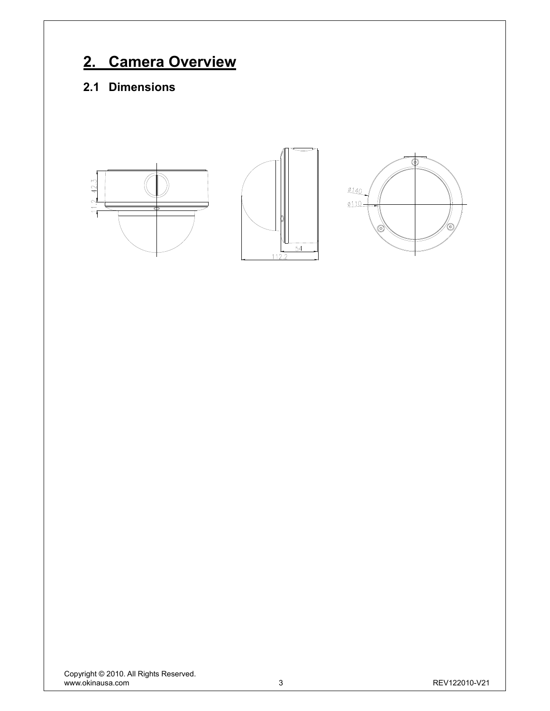# **2. Camera Overview**

# **2.1 Dimensions**

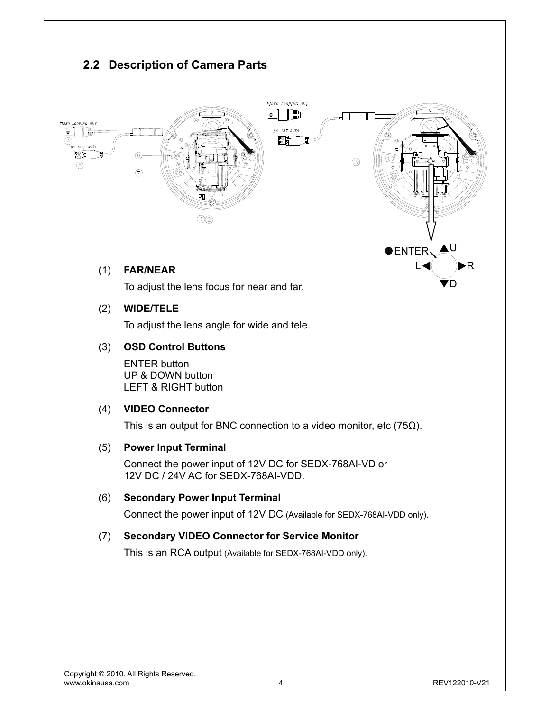# **2.2 Description of Camera Parts**  VIDEO LOOPING OUT  $\boxed{\circledcirc}$ | M DC 12V AC24 <u>| 1981</u><br>| 1981  $V / AC24$  $(3)$ ENTER L R  $\overline{a}$ G U **OENTER** L◀ )▶R (1) **FAR/NEAR** DTo adjust the lens focus for near and far.

# (2) **WIDE/TELE**

To adjust the lens angle for wide and tele.

## (3) **OSD Control Buttons**

ENTER button UP & DOWN button LEFT & RIGHT button

## (4) **VIDEO Connector**

This is an output for BNC connection to a video monitor, etc ( $75\Omega$ ).

## (5) **Power Input Terminal**

 Connect the power input of 12V DC for SEDX-768AI-VD or 12V DC / 24V AC for SEDX-768AI-VDD.

#### (6) **Secondary Power Input Terminal**

Connect the power input of 12V DC (Available for SEDX-768AI-VDD only).

## (7) **Secondary VIDEO Connector for Service Monitor**

This is an RCA output (Available for SEDX-768AI-VDD only).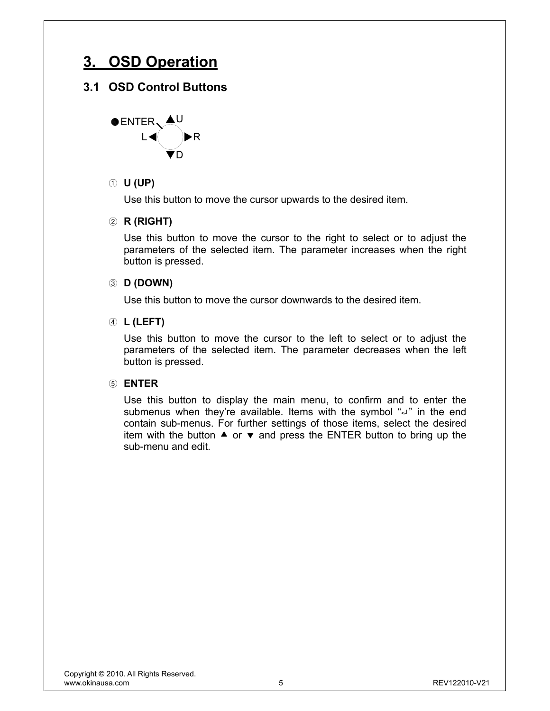# **3. OSD Operation**

# **3.1 OSD Control Buttons**



## ① **U (UP)**

Use this button to move the cursor upwards to the desired item.

#### ② **R (RIGHT)**

Use this button to move the cursor to the right to select or to adjust the parameters of the selected item. The parameter increases when the right button is pressed.

#### ③ **D (DOWN)**

Use this button to move the cursor downwards to the desired item.

#### ④ **L (LEFT)**

Use this button to move the cursor to the left to select or to adjust the parameters of the selected item. The parameter decreases when the left button is pressed.

#### ⑤ **ENTER**

Use this button to display the main menu, to confirm and to enter the submenus when they're available. Items with the symbol "<" in the end contain sub-menus. For further settings of those items, select the desired item with the button  $\triangle$  or  $\blacktriangledown$  and press the ENTER button to bring up the sub-menu and edit.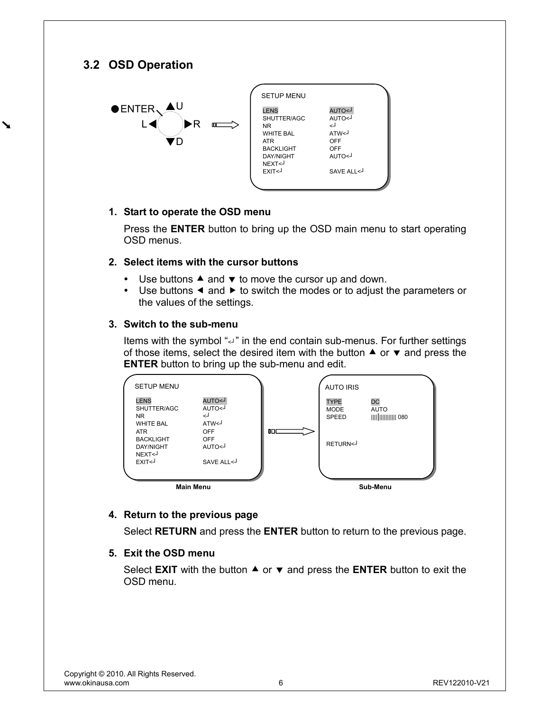# **3.2 OSD Operation**

 $\blacktriangleright$ 



| <b>SETUP MENU</b>                                                                                                                                                                                                                                              |                                                                       |
|----------------------------------------------------------------------------------------------------------------------------------------------------------------------------------------------------------------------------------------------------------------|-----------------------------------------------------------------------|
| <b>LENS</b><br>SHUTTER/AGC<br><b>NR</b><br><b>WHITE BAL</b><br><b>ATR</b><br><b>BACKLIGHT</b><br><b>DAY/NIGHT</b><br>NEXT <j<br>EXIT<j< td=""><td>L&gt;OTUA<br/>L&gt;OTUA<br/>لے<br/>ATW&lt;<br/>OFF<br/>OFF<br/>L&gt;OTLIA<br/>SAVE ALI &lt;</td></j<></j<br> | L>OTUA<br>L>OTUA<br>لے<br>ATW<<br>OFF<br>OFF<br>L>OTLIA<br>SAVE ALI < |

#### **1. Start to operate the OSD menu**

Press the **ENTER** button to bring up the OSD main menu to start operating OSD menus.

#### **2. Select items with the cursor buttons**

- $\bullet$  Use buttons  $\blacktriangle$  and  $\blacktriangledown$  to move the cursor up and down.
- $\cdot$  Use buttons  $\triangleleft$  and  $\triangleright$  to switch the modes or to adjust the parameters or the values of the settings.

#### **3. Switch to the sub-menu**

Items with the symbol "<" in the end contain sub-menus. For further settings of those items, select the desired item with the button  $\blacktriangle$  or  $\blacktriangledown$  and press the **ENTER** button to bring up the sub-menu and edit.



#### **4. Return to the previous page**

Select **RETURN** and press the **ENTER** button to return to the previous page.

#### **5. Exit the OSD menu**

Select **EXIT** with the button  $\triangle$  or  $\triangledown$  and press the **ENTER** button to exit the OSD menu.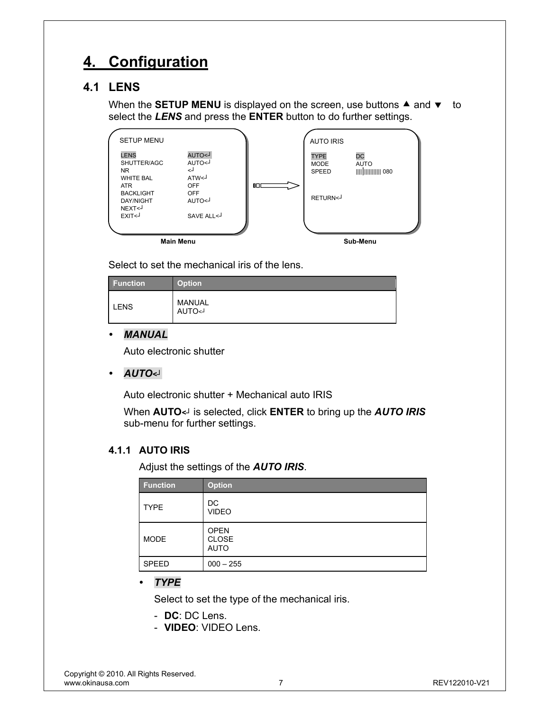# **4. Configuration**

# **4.1 LENS**

When the **SETUP MENU** is displayed on the screen, use buttons  $\triangle$  and  $\triangledown$  to select the *LENS* and press the **ENTER** button to do further settings.

|                                                       | <b>Main Menu</b>                                                       |    |                                            | Sub-Menu          |  |
|-------------------------------------------------------|------------------------------------------------------------------------|----|--------------------------------------------|-------------------|--|
|                                                       |                                                                        |    |                                            |                   |  |
| <b>DAY/NIGHT</b><br>NEXT <j<br>EXIT&lt;</j<br>        | L>OTUA<br>SAVE ALL <j< td=""><td></td><td></td><td></td><td></td></j<> |    |                                            |                   |  |
| ATR.<br><b>BACKLIGHT</b>                              | <b>OFF</b><br><b>OFF</b>                                               | 0D | RETURN <j< td=""><td></td><td></td></j<>   |                   |  |
| <b>LENS</b><br>SHUTTER/AGC<br>NR.<br><b>WHITE BAL</b> | L>OTUA<br>L>OTUA<br>لـ><br>ATW<                                        |    | <b>TYPE</b><br><b>MODE</b><br><b>SPEED</b> | DC<br><b>AUTO</b> |  |
| <b>SETUP MENU</b>                                     |                                                                        |    | <b>AUTO IRIS</b>                           |                   |  |

Select to set the mechanical iris of the lens.

| <b>Function</b> | Option <sup>1</sup> |
|-----------------|---------------------|
| <b>LENS</b>     | MANUAL<br>L>OTUA    |

#### y *MANUAL*

Auto electronic shutter

y *AUTO<┘*

Auto electronic shutter + Mechanical auto IRIS

When **AUTO***<┘* is selected, click **ENTER** to bring up the *AUTO IRIS* sub-menu for further settings.

## **4.1.1 AUTO IRIS**

Adjust the settings of the *AUTO IRIS*.

| <b>Function</b> | <b>Option</b>                              |
|-----------------|--------------------------------------------|
| <b>TYPE</b>     | DC<br><b>VIDEO</b>                         |
| <b>MODE</b>     | <b>OPEN</b><br><b>CLOSE</b><br><b>AUTO</b> |
| <b>SPEED</b>    | $000 - 255$                                |

y *TYPE*

Select to set the type of the mechanical iris.

- **DC**: DC Lens.
- **VIDEO**: VIDEO Lens.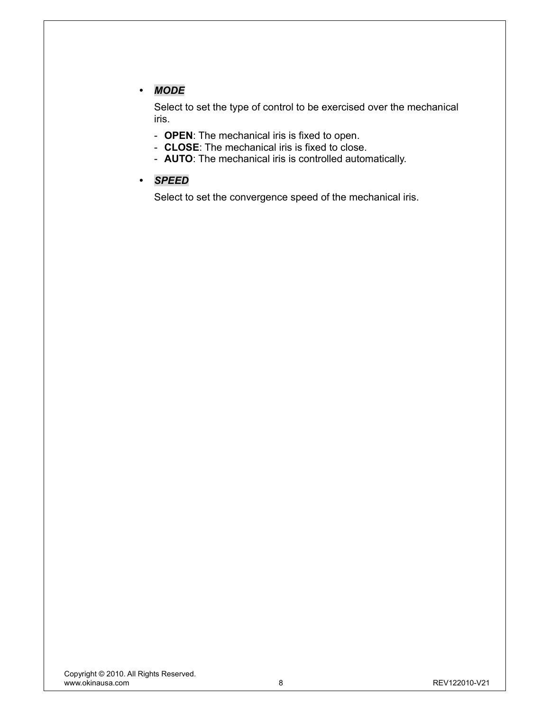# y *MODE*

Select to set the type of control to be exercised over the mechanical iris.

- **OPEN**: The mechanical iris is fixed to open.
- **CLOSE**: The mechanical iris is fixed to close.
- **AUTO**: The mechanical iris is controlled automatically.
- y *SPEED*

Select to set the convergence speed of the mechanical iris.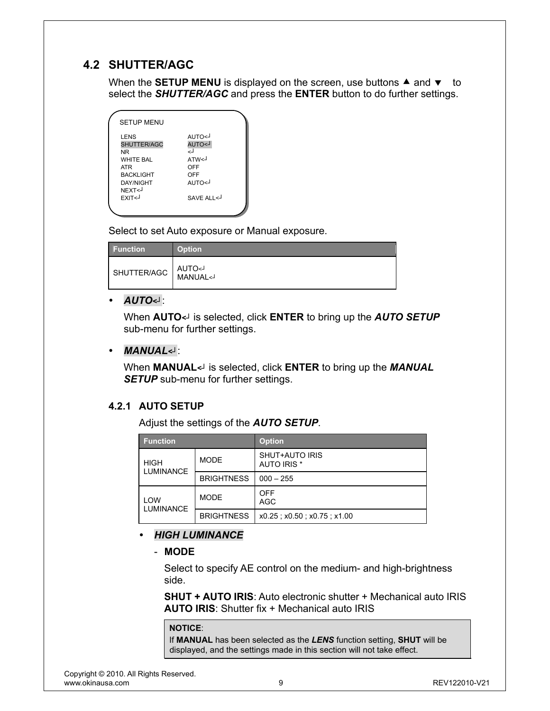# **4.2 SHUTTER/AGC**

When the **SETUP MENU** is displayed on the screen, use buttons  $\triangle$  and  $\blacktriangledown$  to select the *SHUTTER/AGC* and press the **ENTER** button to do further settings.

| <b>SETUP MENU</b>                                                                                                                                                                                                                                |                                                                       |
|--------------------------------------------------------------------------------------------------------------------------------------------------------------------------------------------------------------------------------------------------|-----------------------------------------------------------------------|
| LENS<br>SHUTTER/AGC<br><b>NR</b><br><b>WHITE BAL</b><br><b>ATR</b><br><b>BACKLIGHT</b><br>DAY/NIGHT<br>NFXT <j<br>EXIT<j< th=""><th>L&gt;OTUA<br/>L&gt;OTUA<br/>لے<br/>ATW&lt;<br/>OFF<br/>OFF<br/>L&gt;OTIJA<br/>SAVE ALL &lt;</th></j<></j<br> | L>OTUA<br>L>OTUA<br>لے<br>ATW<<br>OFF<br>OFF<br>L>OTIJA<br>SAVE ALL < |
|                                                                                                                                                                                                                                                  |                                                                       |

Select to set Auto exposure or Manual exposure.

| <b>Function</b> | <b>Option</b>          |
|-----------------|------------------------|
| SHUTTER/AGC     | MANUAL <j< td=""></j<> |

#### y *AUTO<┘*:

When **AUTO***<┘* is selected, click **ENTER** to bring up the *AUTO SETUP* sub-menu for further settings.

#### y *MANUAL<┘*:

When **MANUAL***<┘* is selected, click **ENTER** to bring up the *MANUAL*  **SETUP** sub-menu for further settings.

#### **4.2.1 AUTO SETUP**

Adjust the settings of the *AUTO SETUP*.

| <b>Function</b>         |                   | <b>Option</b>                               |
|-------------------------|-------------------|---------------------------------------------|
| <b>HIGH</b>             | <b>MODE</b>       | <b>SHUT+AUTO IRIS</b><br><b>AUTO IRIS *</b> |
| <b>LUMINANCE</b>        | <b>BRIGHTNESS</b> | $000 - 255$                                 |
| LOW<br><b>LUMINANCE</b> | <b>MODE</b>       | <b>OFF</b><br><b>AGC</b>                    |
|                         | <b>BRIGHTNESS</b> | x0.25; x0.50; x0.75; x1.00                  |

- y *HIGH LUMINANCE* 
	- **MODE**

Select to specify AE control on the medium- and high-brightness side.

**SHUT + AUTO IRIS**: Auto electronic shutter + Mechanical auto IRIS **AUTO IRIS**: Shutter fix + Mechanical auto IRIS

#### **NOTICE**:

If **MANUAL** has been selected as the *LENS* function setting, **SHUT** will be displayed, and the settings made in this section will not take effect.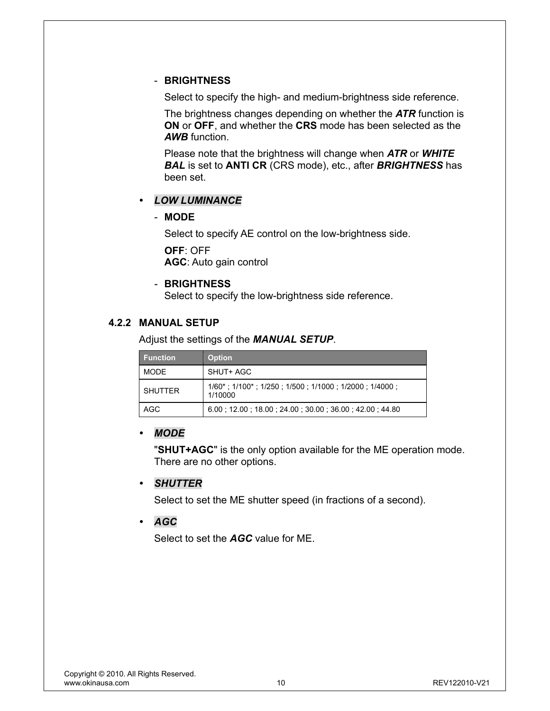#### - **BRIGHTNESS**

Select to specify the high- and medium-brightness side reference.

The brightness changes depending on whether the *ATR* function is **ON** or **OFF**, and whether the **CRS** mode has been selected as the *AWB* function.

Please note that the brightness will change when *ATR* or *WHITE BAL* is set to **ANTI CR** (CRS mode), etc., after *BRIGHTNESS* has been set.

## y *LOW LUMINANCE*

#### - **MODE**

Select to specify AE control on the low-brightness side. **OFF**: OFF **AGC**: Auto gain control

#### - **BRIGHTNESS**

Select to specify the low-brightness side reference.

#### **4.2.2 MANUAL SETUP**

Adjust the settings of the *MANUAL SETUP*.

| <b>Function</b> | <b>Option</b>                                                                          |
|-----------------|----------------------------------------------------------------------------------------|
| <b>MODE</b>     | SHUT+ AGC                                                                              |
| <b>SHUTTER</b>  | $1/60^*$ ; $1/100^*$ ; $1/250$ ; $1/500$ ; $1/1000$ ; $1/2000$ ; $1/4000$ ;<br>1/10000 |
| AGC             | 6.00 12.00 18.00 24.00 30.00 36.00 42.00 44.80                                         |

## y *MODE*

"**SHUT+AGC**" is the only option available for the ME operation mode. There are no other options.

## y *SHUTTER*

Select to set the ME shutter speed (in fractions of a second).

## y *AGC*

Select to set the *AGC* value for ME.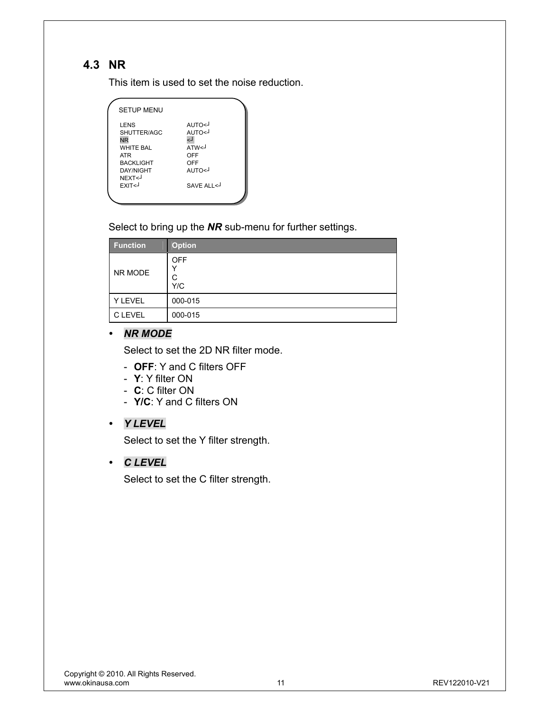# **4.3 NR**

This item is used to set the noise reduction.

| <b>SETUP MENU</b>                                                                                                                                                                                                                                             |                                                                      |
|---------------------------------------------------------------------------------------------------------------------------------------------------------------------------------------------------------------------------------------------------------------|----------------------------------------------------------------------|
| <b>LENS</b><br>SHUTTER/AGC<br><b>NR</b><br><b>WHITF RAI</b><br><b>ATR</b><br><b>BACKLIGHT</b><br><b>DAY/NIGHT</b><br>NEXT <j<br>EXIT<j< th=""><th>L&gt;OTUA<br/>L&gt;OTUA<br/>لہ<br/>ATW&lt;<br/>OFF<br/>OFF<br/>L&gt;OTUA<br/>SAVE ALL &lt;</th></j<></j<br> | L>OTUA<br>L>OTUA<br>لہ<br>ATW<<br>OFF<br>OFF<br>L>OTUA<br>SAVE ALL < |
|                                                                                                                                                                                                                                                               |                                                                      |

Select to bring up the *NR* sub-menu for further settings.

| <b>Function</b> | <b>Option</b>               |
|-----------------|-----------------------------|
| NR MODE         | <b>OFF</b><br>v<br>C<br>Y/C |
| Y LEVEL         | 000-015                     |
| <b>C LEVEL</b>  | 000-015                     |

#### y *NR MODE*

Select to set the 2D NR filter mode.

- **OFF**: Y and C filters OFF
- **Y**: Y filter ON
- **C**: C filter ON
- **Y/C**: Y and C filters ON

# y *Y LEVEL*

Select to set the Y filter strength.

## y *C LEVEL*

Select to set the C filter strength.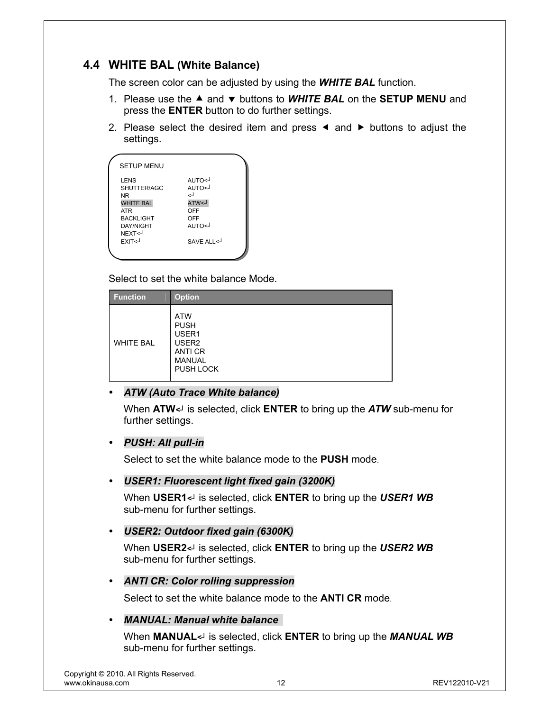# **4.4 WHITE BAL (White Balance)**

The screen color can be adjusted by using the *WHITE BAL* function.

- 1. Please use the ▲ and ▼ buttons to **WHITE BAL** on the **SETUP MENU** and press the **ENTER** button to do further settings.
- 2. Please select the desired item and press  $\triangleleft$  and  $\triangleright$  buttons to adjust the settings.

| <b>SETUP MENU</b>                                                                                                                                                |                                                                                            |
|------------------------------------------------------------------------------------------------------------------------------------------------------------------|--------------------------------------------------------------------------------------------|
| <b>LENS</b><br>SHUTTER/AGC<br><b>NR</b><br><b>WHITE BAL</b><br><b>ATR</b><br><b>BACKLIGHT</b><br><b>DAY/NIGHT</b><br>NEXT <j<br><b>FXIT<j< b=""></j<></b></j<br> | L>OTUA<br>AUTO <j<br>لے<br/>L&gt;WTA<br/>OFF<br/>OFF<br/>L&gt;OTUA<br/>SAVE ALL&lt;</j<br> |
|                                                                                                                                                                  |                                                                                            |

Select to set the white balance Mode.

| <b>Function</b>  | <b>Option</b>                                                                                    |
|------------------|--------------------------------------------------------------------------------------------------|
| <b>WHITE BAL</b> | <b>ATW</b><br><b>PUSH</b><br>USER1<br>USER <sub>2</sub><br>ANTI CR<br><b>MANUAL</b><br>PUSH LOCK |

## **ATW (Auto Trace White balance)**

When **ATW***<┘* is selected, click **ENTER** to bring up the *ATW* sub-menu for further settings.

#### y *PUSH: All pull-in*

Select to set the white balance mode to the **PUSH** mode.

#### y *USER1: Fluorescent light fixed gain (3200K)*

When **USER1***<┘* is selected, click **ENTER** to bring up the *USER1 WB* sub-menu for further settings.

#### y *USER2: Outdoor fixed gain (6300K)*

When **USER2***<┘* is selected, click **ENTER** to bring up the *USER2 WB* sub-menu for further settings.

#### y *ANTI CR: Color rolling suppression*

Select to set the white balance mode to the **ANTI CR** mode.

#### **MANUAL: Manual white balance**

When **MANUAL***<┘* is selected, click **ENTER** to bring up the *MANUAL WB* sub-menu for further settings.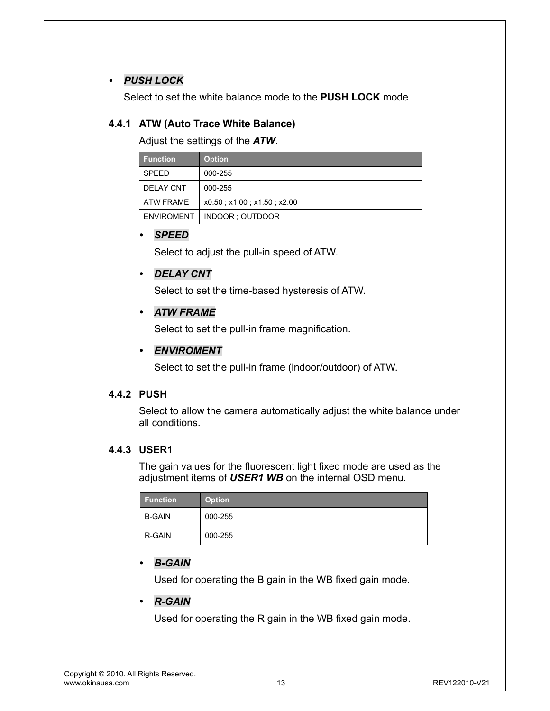# y *PUSH LOCK*

Select to set the white balance mode to the **PUSH LOCK** mode.

# **4.4.1 ATW (Auto Trace White Balance)**

Adjust the settings of the *ATW*.

| <b>Function</b>   | <b>Option</b>              |
|-------------------|----------------------------|
| <b>SPEED</b>      | 000-255                    |
| <b>DELAY CNT</b>  | 000-255                    |
| ATW FRAME         | x0.50; x1.00; x1.50; x2.00 |
| <b>ENVIROMENT</b> | INDOOR ; OUTDOOR           |

#### y *SPEED*

Select to adjust the pull-in speed of ATW.

# y *DELAY CNT*

Select to set the time-based hysteresis of ATW.

## y *ATW FRAME*

Select to set the pull-in frame magnification.

# y *ENVIROMENT*

Select to set the pull-in frame (indoor/outdoor) of ATW.

## **4.4.2 PUSH**

Select to allow the camera automatically adjust the white balance under all conditions.

## **4.4.3 USER1**

The gain values for the fluorescent light fixed mode are used as the adjustment items of *USER1 WB* on the internal OSD menu.

| <b>Function</b> | <b>Option</b> |
|-----------------|---------------|
| <b>B-GAIN</b>   | 000-255       |
| R-GAIN          | 000-255       |

# y *B-GAIN*

Used for operating the B gain in the WB fixed gain mode.

## y *R-GAIN*

Used for operating the R gain in the WB fixed gain mode.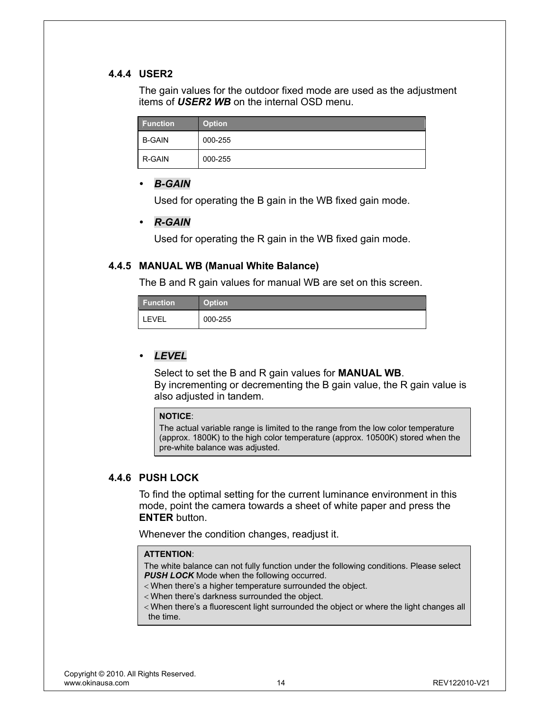#### **4.4.4 USER2**

The gain values for the outdoor fixed mode are used as the adjustment items of *USER2 WB* on the internal OSD menu.

| <b>Function</b> | Option <sup>'</sup> |
|-----------------|---------------------|
| <b>B-GAIN</b>   | 000-255             |
| R-GAIN          | 000-255             |

#### *B-GAIN*

Used for operating the B gain in the WB fixed gain mode.

#### y *R-GAIN*

Used for operating the R gain in the WB fixed gain mode.

#### **4.4.5 MANUAL WB (Manual White Balance)**

The B and R gain values for manual WB are set on this screen.

| <b>Function</b> | <b>Option</b> |
|-----------------|---------------|
| <b>LEVEL</b>    | 000-255       |

## y *LEVEL*

Select to set the B and R gain values for **MANUAL WB**. By incrementing or decrementing the B gain value, the R gain value is also adjusted in tandem.

#### **NOTICE**:

The actual variable range is limited to the range from the low color temperature (approx. 1800K) to the high color temperature (approx. 10500K) stored when the pre-white balance was adjusted.

#### **4.4.6 PUSH LOCK**

To find the optimal setting for the current luminance environment in this mode, point the camera towards a sheet of white paper and press the **ENTER** button.

Whenever the condition changes, readjust it.

#### **ATTENTION**:

The white balance can not fully function under the following conditions. Please select **PUSH LOCK** Mode when the following occurred.

- < When there's a higher temperature surrounded the object.
- < When there's darkness surrounded the object.
- < When there's a fluorescent light surrounded the object or where the light changes all the time.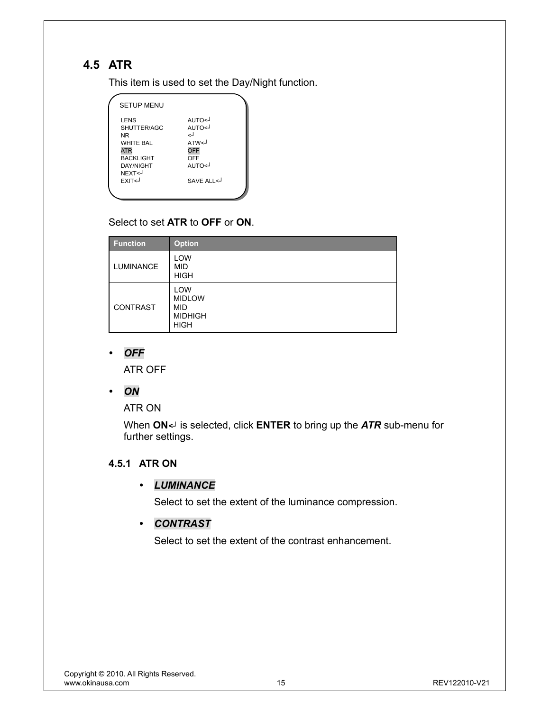# **4.5 ATR**

This item is used to set the Day/Night function.

| <b>SETUP MENU</b>                                                                                                                                 |                                                                      |  |
|---------------------------------------------------------------------------------------------------------------------------------------------------|----------------------------------------------------------------------|--|
| LENS<br>SHUTTER/AGC<br><b>NR</b><br><b>WHITE BAL</b><br><b>ATR</b><br><b>BACKLIGHT</b><br><b>DAY/NIGHT</b><br>NEXT<-<br><b>FXIT<j< b=""></j<></b> | L>OTUA<br>AUTO<<br>ارے<br>ATW<<br>OFF<br>OFF<br>L>OTUA<br>SAVE ALL < |  |
|                                                                                                                                                   |                                                                      |  |

# Select to set **ATR** to **OFF** or **ON**.

| <b>Function</b>  | <b>Option</b>                                                       |
|------------------|---------------------------------------------------------------------|
| <b>LUMINANCE</b> | LOW<br><b>MID</b><br><b>HIGH</b>                                    |
| CONTRAST         | LOW<br><b>MIDLOW</b><br><b>MID</b><br><b>MIDHIGH</b><br><b>HIGH</b> |

# y *OFF*

ATR OFF

y *ON* 

ATR ON

When **ON***<┘* is selected, click **ENTER** to bring up the *ATR* sub-menu for further settings.

# **4.5.1 ATR ON**

## y *LUMINANCE*

Select to set the extent of the luminance compression.

# y *CONTRAST*

Select to set the extent of the contrast enhancement.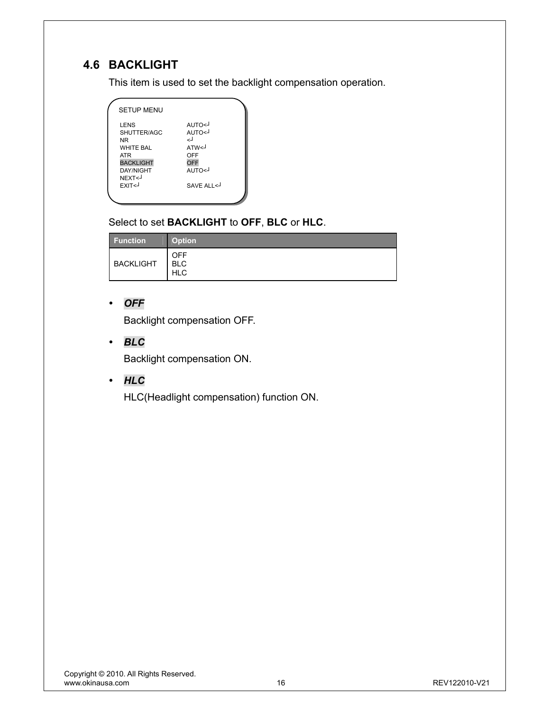# **4.6 BACKLIGHT**

This item is used to set the backlight compensation operation.

| <b>SETUP MENU</b>                                                                                                                                                                                                                                                      |                                                                             |  |
|------------------------------------------------------------------------------------------------------------------------------------------------------------------------------------------------------------------------------------------------------------------------|-----------------------------------------------------------------------------|--|
| LENS<br>SHUTTER/AGC<br><b>NR</b><br><b>WHITE BAL</b><br><b>ATR</b><br><b>BACKLIGHT</b><br><b>DAY/NIGHT</b><br>NEXT <j<br>EXIT<j< th=""><th>L&gt;OTUA<br/>L&gt;OTUA<br/>اے<br/>ATW&lt;<br/>OFF<br/><b>OFF</b><br/>L&gt;OTUA<br/>SAVE ALI &lt;</th><th></th></j<></j<br> | L>OTUA<br>L>OTUA<br>اے<br>ATW<<br>OFF<br><b>OFF</b><br>L>OTUA<br>SAVE ALI < |  |
|                                                                                                                                                                                                                                                                        |                                                                             |  |

# Select to set **BACKLIGHT** to **OFF**, **BLC** or **HLC**.

| <b>Function</b>  | <b>Option</b>                   |
|------------------|---------------------------------|
| <b>BACKLIGHT</b> | OFF<br><b>BLC</b><br><b>HLC</b> |

# y *OFF*

Backlight compensation OFF.

y *BLC* 

Backlight compensation ON.

y *HLC* 

HLC(Headlight compensation) function ON.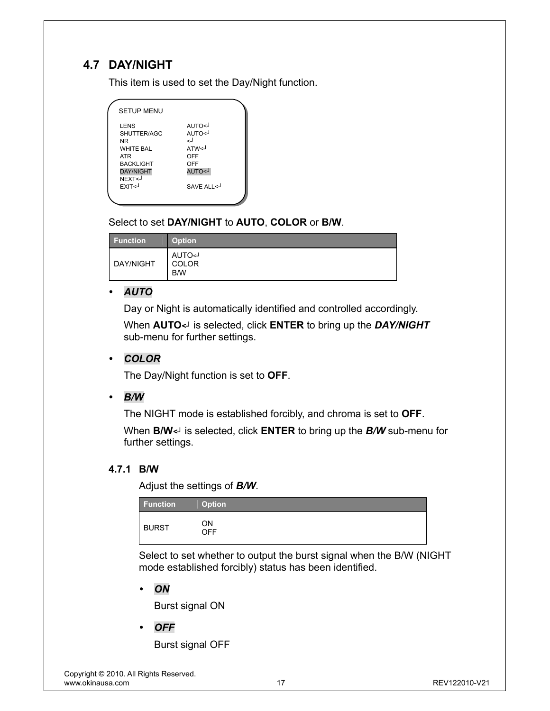# **4.7 DAY/NIGHT**

This item is used to set the Day/Night function.

| <b>SETUP MENU</b>                                                                                                                                                                                                                                                    |                                                                                                     |  |
|----------------------------------------------------------------------------------------------------------------------------------------------------------------------------------------------------------------------------------------------------------------------|-----------------------------------------------------------------------------------------------------|--|
| LENS<br>SHUTTER/AGC<br>NR<br><b>WHITE BAI</b><br><b>ATR</b><br><b>BACKLIGHT</b><br><b>DAY/NIGHT</b><br>NEXT <j<br>FXIT<j< td=""><td>L&gt;OTUA<br/>AUTO<j<br>ارے<br/>ATW<sub>1</sub><br/>OFF<br/>OFF<br/>L&gt;OTUA<br/>SAVE ALL &lt;</j<br></td><td></td></j<></j<br> | L>OTUA<br>AUTO <j<br>ارے<br/>ATW<sub>1</sub><br/>OFF<br/>OFF<br/>L&gt;OTUA<br/>SAVE ALL &lt;</j<br> |  |
|                                                                                                                                                                                                                                                                      |                                                                                                     |  |

# Select to set **DAY/NIGHT** to **AUTO**, **COLOR** or **B/W**.

| Function  | <b>Option</b>                                      |
|-----------|----------------------------------------------------|
| DAY/NIGHT | <b>AUTO<j< b=""><br/><b>COLOR</b><br/>B/W</j<></b> |

## y *AUTO*

Day or Night is automatically identified and controlled accordingly.

When **AUTO***<┘* is selected, click **ENTER** to bring up the *DAY/NIGHT* sub-menu for further settings.

#### y *COLOR*

The Day/Night function is set to **OFF**.

#### y *B/W*

The NIGHT mode is established forcibly, and chroma is set to **OFF**.

When **B/W***<┘* is selected, click **ENTER** to bring up the *B/W* sub-menu for further settings.

#### **4.7.1 B/W**

Adjust the settings of *B/W*.

| <b>Function</b> | <b>Option</b> |
|-----------------|---------------|
| <b>BURST</b>    | ΟN<br>OFF     |

Select to set whether to output the burst signal when the B/W (NIGHT mode established forcibly) status has been identified.

y *ON* 

Burst signal ON

y *OFF* 

Burst signal OFF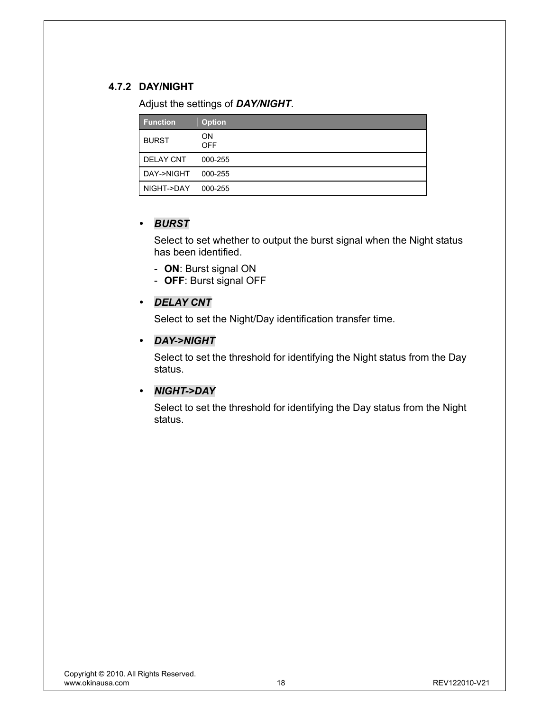# **4.7.2 DAY/NIGHT**

Adjust the settings of *DAY/NIGHT*.

| <b>Function</b>  | <b>Option</b>           |
|------------------|-------------------------|
| <b>BURST</b>     | <b>ON</b><br><b>OFF</b> |
| <b>DELAY CNT</b> | 000-255                 |
| DAY->NIGHT       | 000-255                 |
| NIGHT->DAY       | 000-255                 |

#### y *BURST*

Select to set whether to output the burst signal when the Night status has been identified.

- **ON**: Burst signal ON
- **OFF**: Burst signal OFF

#### y *DELAY CNT*

Select to set the Night/Day identification transfer time.

#### y *DAY->NIGHT*

Select to set the threshold for identifying the Night status from the Day status.

#### y *NIGHT->DAY*

Select to set the threshold for identifying the Day status from the Night status.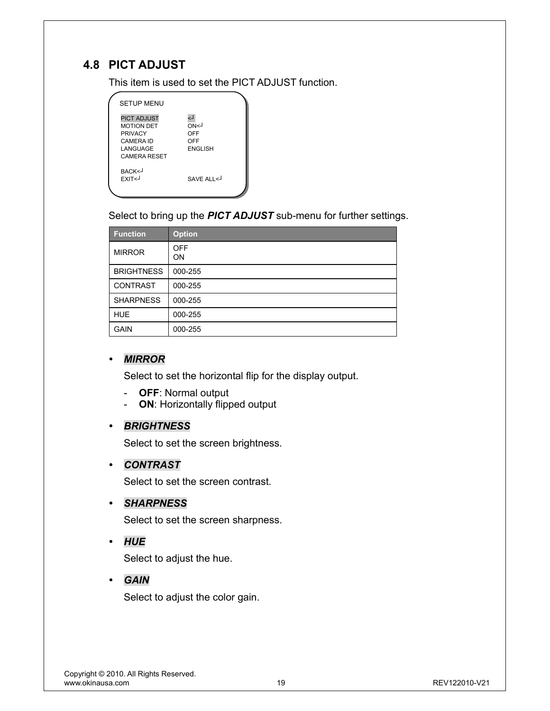# **4.8 PICT ADJUST**

This item is used to set the PICT ADJUST function.

| <b>SETUP MENU</b>                                                                                         |                                            |
|-----------------------------------------------------------------------------------------------------------|--------------------------------------------|
| <b>PICT ADJUST</b><br><b>MOTION DET</b><br><b>PRIVACY</b><br>CAMERA ID<br>LANGUAGE<br><b>CAMERA RESET</b> | لے<br>ON<1<br>OFF<br>OFF<br><b>ENGLISH</b> |
| BACK <j<br>EXIT<j< td=""><td>SAVE ALL&lt;</td></j<></j<br>                                                | SAVE ALL<                                  |

Select to bring up the *PICT ADJUST* sub-menu for further settings.

| <b>Function</b>   | <b>Option</b>    |
|-------------------|------------------|
| <b>MIRROR</b>     | <b>OFF</b><br>OΝ |
| <b>BRIGHTNESS</b> | 000-255          |
| <b>CONTRAST</b>   | 000-255          |
| <b>SHARPNESS</b>  | 000-255          |
| <b>HUE</b>        | 000-255          |
| <b>GAIN</b>       | 000-255          |

#### y *MIRROR*

Select to set the horizontal flip for the display output.

- **OFF**: Normal output
- **ON**: Horizontally flipped output

## y *BRIGHTNESS*

Select to set the screen brightness.

#### y *CONTRAST*

Select to set the screen contrast.

y *SHARPNESS* 

Select to set the screen sharpness.

y *HUE* 

Select to adjust the hue.

y *GAIN* 

Select to adjust the color gain.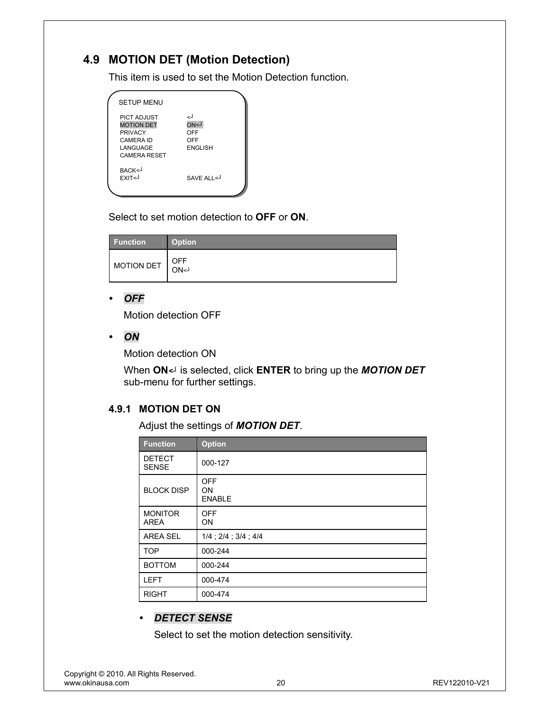# **4.9 MOTION DET (Motion Detection)**

This item is used to set the Motion Detection function.

| <b>SETUP MENU</b>                                                                                                |                                                      |  |
|------------------------------------------------------------------------------------------------------------------|------------------------------------------------------|--|
| <b>PICT ADJUST</b><br><b>MOTION DET</b><br><b>PRIVACY</b><br><b>CAMERA ID</b><br>LANGUAGE<br><b>CAMERA RESET</b> | اے<br><b>L&gt;NO</b><br>OFF<br>OFF<br><b>ENGLISH</b> |  |
| BACK<-<br>EXIT <j< td=""><td>SAVE ALL &lt;</td><td></td></j<>                                                    | SAVE ALL <                                           |  |

Select to set motion detection to **OFF** or **ON**.

| <b>Function</b> | <b>Option</b> |
|-----------------|---------------|
| MOTION DET      | OFF<br>ON<1   |

#### y *OFF*

Motion detection OFF

y *ON* 

Motion detection ON

When **ON***<┘* is selected, click **ENTER** to bring up the *MOTION DET* sub-menu for further settings.

## **4.9.1 MOTION DET ON**

Adjust the settings of *MOTION DET*.

| <b>Function</b>               | <b>Option</b>                     |
|-------------------------------|-----------------------------------|
| <b>DETECT</b><br><b>SENSE</b> | 000-127                           |
| <b>BLOCK DISP</b>             | <b>OFF</b><br>ON<br><b>ENABLE</b> |
| <b>MONITOR</b><br><b>AREA</b> | <b>OFF</b><br>ON                  |
| <b>AREA SEL</b>               | $1/4$ ; $2/4$ ; $3/4$ ; $4/4$     |
| <b>TOP</b>                    | 000-244                           |
| <b>BOTTOM</b>                 | 000-244                           |
| <b>LEFT</b>                   | 000-474                           |
| <b>RIGHT</b>                  | 000-474                           |

## y *DETECT SENSE*

Select to set the motion detection sensitivity.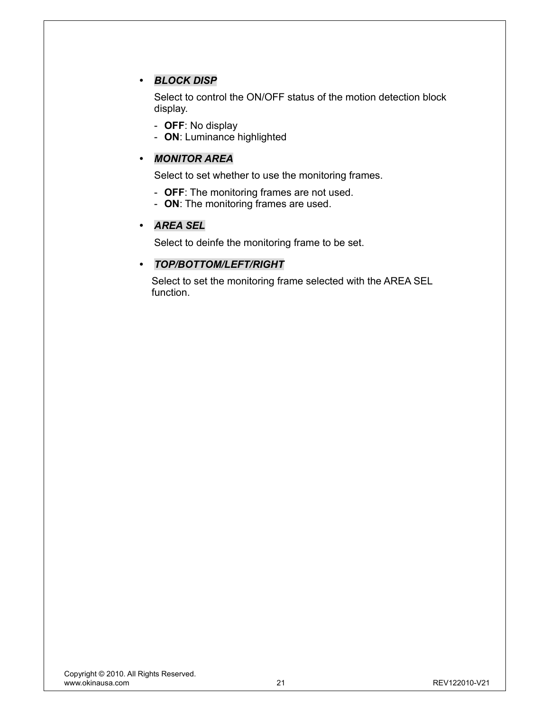# y *BLOCK DISP*

Select to control the ON/OFF status of the motion detection block display.

- **OFF**: No display
- **ON**: Luminance highlighted

## y *MONITOR AREA*

Select to set whether to use the monitoring frames.

- **OFF**: The monitoring frames are not used.
- **ON**: The monitoring frames are used.

#### y *AREA SEL*

Select to deinfe the monitoring frame to be set.

#### y *TOP/BOTTOM/LEFT/RIGHT*

Select to set the monitoring frame selected with the AREA SEL function.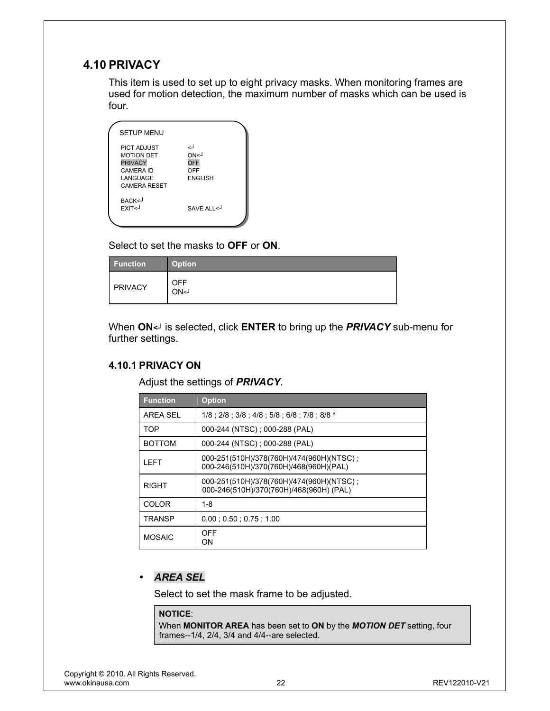# **4.10 PRIVACY**

This item is used to set up to eight privacy masks. When monitoring frames are used for motion detection, the maximum number of masks which can be used is four.

| <b>SETUP MENU</b>                                                                                                |                                                              |
|------------------------------------------------------------------------------------------------------------------|--------------------------------------------------------------|
| <b>PICT ADJUST</b><br><b>MOTION DET</b><br><b>PRIVACY</b><br><b>CAMERA ID</b><br>LANGUAGE<br><b>CAMERA RESET</b> | لے<br><b>ON&lt;1</b><br><b>OFF</b><br>OFF<br><b>FNGI ISH</b> |
| BACK <j<br><b>FXIT<j< b=""></j<></b></j<br>                                                                      | SAVE ALL <                                                   |

Select to set the masks to **OFF** or **ON**.

| Function | <b>Option</b>      |
|----------|--------------------|
| PRIVACY  | <b>OFF</b><br>ON<1 |

When **ON***<┘* is selected, click **ENTER** to bring up the *PRIVACY* sub-menu for further settings.

#### **4.10.1 PRIVACY ON**

Adjust the settings of *PRIVACY*.

| <b>Function</b> | <b>Option</b>                                                                       |
|-----------------|-------------------------------------------------------------------------------------|
| AREA SEL        | 1/8 : 2/8 : 3/8 : 4/8 : 5/8 : 6/8 : 7/8 : 8/8 *                                     |
| <b>TOP</b>      | 000-244 (NTSC); 000-288 (PAL)                                                       |
| <b>BOTTOM</b>   | 000-244 (NTSC); 000-288 (PAL)                                                       |
| I FFT           | 000-251(510H)/378(760H)/474(960H)(NTSC);<br>000-246(510H)/370(760H)/468(960H)(PAL)  |
| RIGHT           | 000-251(510H)/378(760H)/474(960H)(NTSC);<br>000-246(510H)/370(760H)/468(960H) (PAL) |
| <b>COLOR</b>    | 1-8                                                                                 |
| TRANSP          | $0.00$ ; $0.50$ ; $0.75$ ; $1.00$                                                   |
| <b>MOSAIC</b>   | OFF<br>ON                                                                           |

## y *AREA SEL*

Select to set the mask frame to be adjusted.

#### **NOTICE**:

When **MONITOR AREA** has been set to **ON** by the *MOTION DET* setting, four frames--1/4, 2/4, 3/4 and 4/4--are selected.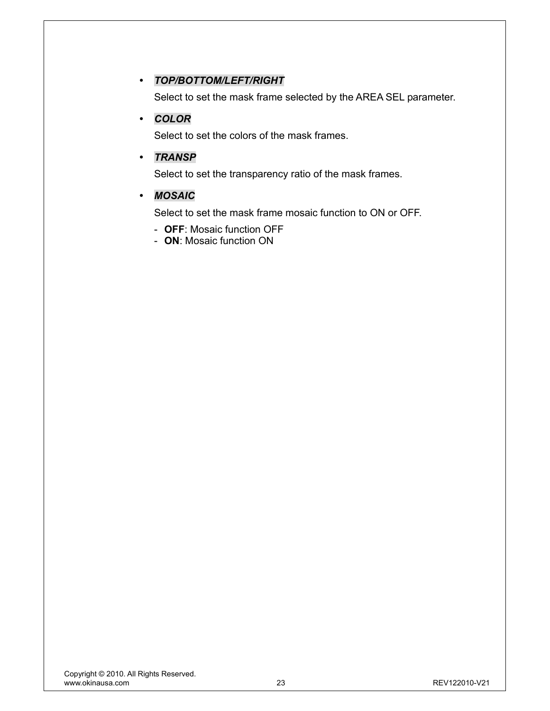## y *TOP/BOTTOM/LEFT/RIGHT*

Select to set the mask frame selected by the AREA SEL parameter.

### y *COLOR*

Select to set the colors of the mask frames.

#### y *TRANSP*

Select to set the transparency ratio of the mask frames.

#### y *MOSAIC*

Select to set the mask frame mosaic function to ON or OFF.

- **OFF**: Mosaic function OFF
- **ON**: Mosaic function ON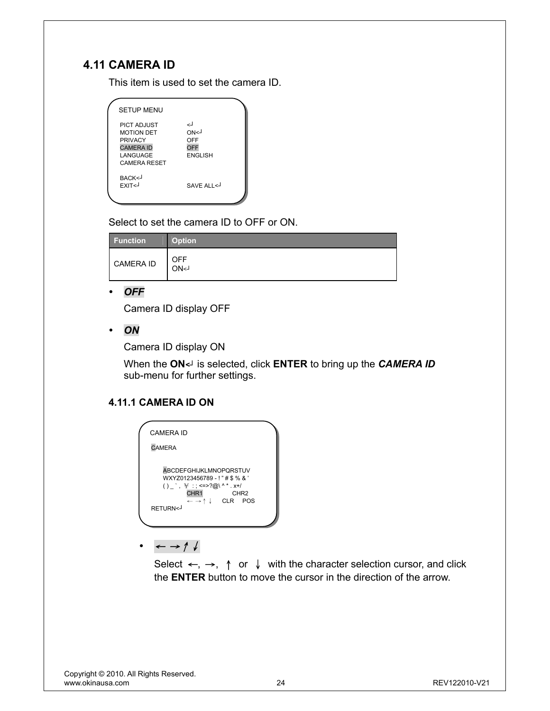# **4.11 CAMERA ID**

This item is used to set the camera ID.

| <b>SETUP MENU</b>                                                                                                |                                            |
|------------------------------------------------------------------------------------------------------------------|--------------------------------------------|
| <b>PICT ADJUST</b><br><b>MOTION DET</b><br><b>PRIVACY</b><br><b>CAMERA ID</b><br>LANGUAGE<br><b>CAMERA RESET</b> | لے<br>ON<1<br>OFF<br>OFF<br><b>ENGLISH</b> |
| BACK <j<br>EXIT<j< td=""><td>SAVE ALL &lt;</td></j<></j<br>                                                      | SAVE ALL <                                 |

Select to set the camera ID to OFF or ON.

| <b>Function</b>  | <b>Option</b>      |
|------------------|--------------------|
| <b>CAMERA ID</b> | <b>OFF</b><br>ON<1 |

#### y *OFF*

Camera ID display OFF

y *ON* 

Camera ID display ON

When the **ON***<┘* is selected, click **ENTER** to bring up the *CAMERA ID* sub-menu for further settings.

# **4.11.1 CAMERA ID ON**

| CAMFRA ID                                                                                                                                                                                                                   |  |
|-----------------------------------------------------------------------------------------------------------------------------------------------------------------------------------------------------------------------------|--|
| <b>CAMERA</b>                                                                                                                                                                                                               |  |
| <b>ABCDEFGHIJKLMNOPORSTUV</b><br>WXYZ0123456789 - ! " # \$ % & '<br>() , $\frac{1}{2}$ : =>?@\^*.x+/<br>CHR1<br>CHR <sub>2</sub><br>$\leftarrow \rightarrow \uparrow \downarrow$ CLR POS<br>RETURN <j< td=""><td></td></j<> |  |

y <sup>←</sup> →↑↓

Select  $\leftarrow$ ,  $\rightarrow$ ,  $\uparrow$  or  $\downarrow$  with the character selection cursor, and click the **ENTER** button to move the cursor in the direction of the arrow.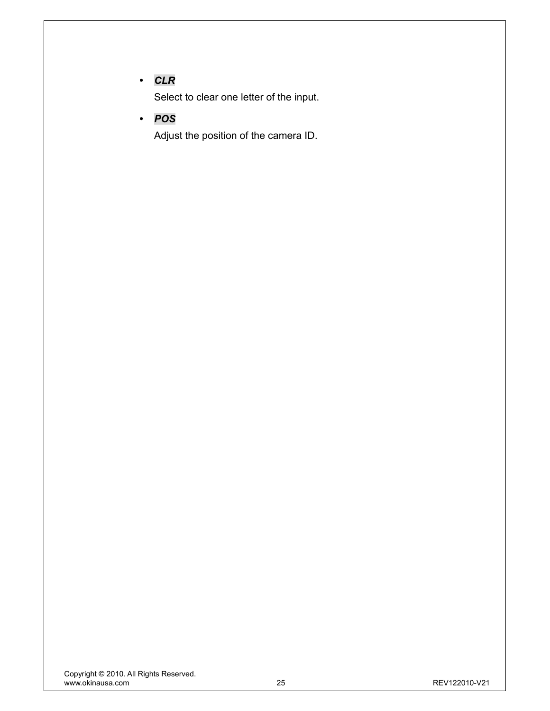# y *CLR*

Select to clear one letter of the input.

y *POS* 

Adjust the position of the camera ID.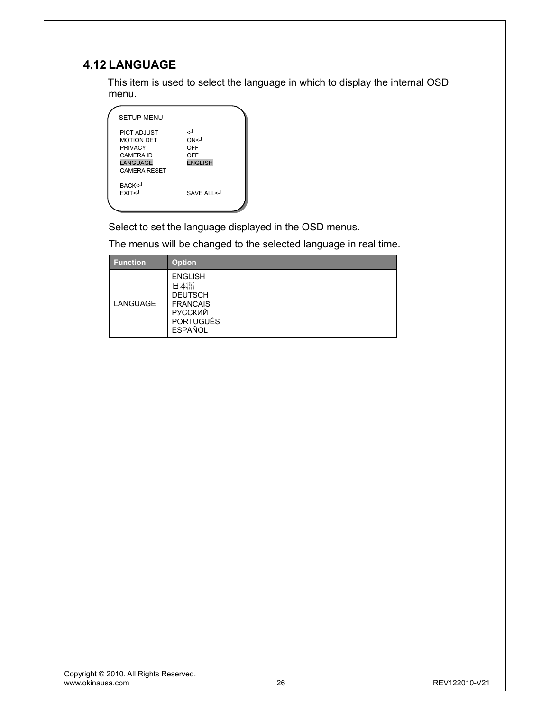# **4.12 LANGUAGE**

This item is used to select the language in which to display the internal OSD menu.

| <b>SETUP MENU</b>                                                                                                |                                                       |
|------------------------------------------------------------------------------------------------------------------|-------------------------------------------------------|
| PICT ADJUST<br><b>MOTION DET</b><br><b>PRIVACY</b><br><b>CAMERA ID</b><br><b>LANGUAGE</b><br><b>CAMERA RESET</b> | لے<br>ON <sub>1</sub><br>OFF<br>OFF<br><b>ENGLISH</b> |
| BACK<-<br>EXIT <j< th=""><th>SAVE ALI &lt;</th></j<>                                                             | SAVE ALI <                                            |

Select to set the language displayed in the OSD menus.

The menus will be changed to the selected language in real time.

| <b>Function</b> | <b>Option</b>                                                                                                      |
|-----------------|--------------------------------------------------------------------------------------------------------------------|
| LANGUAGE        | <b>ENGLISH</b><br>日本語<br><b>DEUTSCH</b><br><b>FRANCAIS</b><br><b>РУССКИЙ</b><br><b>PORTUGUÊS</b><br><b>ESPAÑOL</b> |